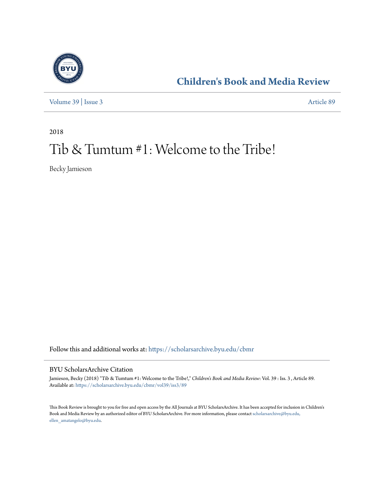

**[Children's Book and Media Review](https://scholarsarchive.byu.edu/cbmr?utm_source=scholarsarchive.byu.edu%2Fcbmr%2Fvol39%2Fiss3%2F89&utm_medium=PDF&utm_campaign=PDFCoverPages)**

[Volume 39](https://scholarsarchive.byu.edu/cbmr/vol39?utm_source=scholarsarchive.byu.edu%2Fcbmr%2Fvol39%2Fiss3%2F89&utm_medium=PDF&utm_campaign=PDFCoverPages) | [Issue 3](https://scholarsarchive.byu.edu/cbmr/vol39/iss3?utm_source=scholarsarchive.byu.edu%2Fcbmr%2Fvol39%2Fiss3%2F89&utm_medium=PDF&utm_campaign=PDFCoverPages) [Article 89](https://scholarsarchive.byu.edu/cbmr/vol39/iss3/89?utm_source=scholarsarchive.byu.edu%2Fcbmr%2Fvol39%2Fiss3%2F89&utm_medium=PDF&utm_campaign=PDFCoverPages)

2018

# Tib & Tumtum #1: Welcome to the Tribe!

Becky Jamieson

Follow this and additional works at: [https://scholarsarchive.byu.edu/cbmr](https://scholarsarchive.byu.edu/cbmr?utm_source=scholarsarchive.byu.edu%2Fcbmr%2Fvol39%2Fiss3%2F89&utm_medium=PDF&utm_campaign=PDFCoverPages)

### BYU ScholarsArchive Citation

Jamieson, Becky (2018) "Tib & Tumtum #1: Welcome to the Tribe!," *Children's Book and Media Review*: Vol. 39 : Iss. 3 , Article 89. Available at: [https://scholarsarchive.byu.edu/cbmr/vol39/iss3/89](https://scholarsarchive.byu.edu/cbmr/vol39/iss3/89?utm_source=scholarsarchive.byu.edu%2Fcbmr%2Fvol39%2Fiss3%2F89&utm_medium=PDF&utm_campaign=PDFCoverPages)

This Book Review is brought to you for free and open access by the All Journals at BYU ScholarsArchive. It has been accepted for inclusion in Children's Book and Media Review by an authorized editor of BYU ScholarsArchive. For more information, please contact [scholarsarchive@byu.edu,](mailto:scholarsarchive@byu.edu,%20ellen_amatangelo@byu.edu) [ellen\\_amatangelo@byu.edu.](mailto:scholarsarchive@byu.edu,%20ellen_amatangelo@byu.edu)